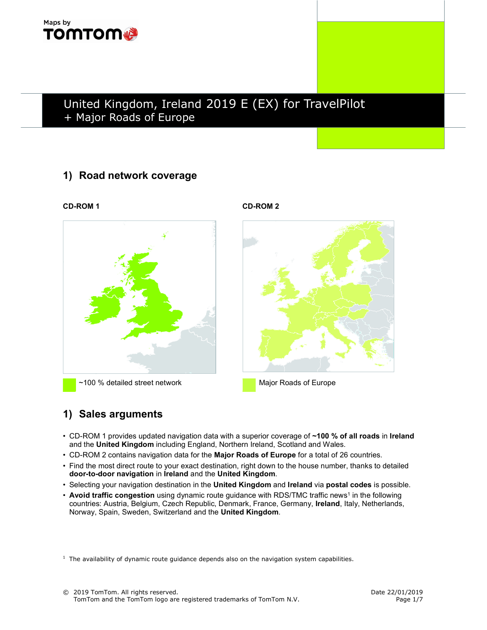

# United Kingdom, Ireland 2019 E (EX) for TravelPilot + Major Roads of Europe

### 1) Road network coverage

~100 % detailed street network Major Roads of Europe

CD-ROM 1 CD-ROM 2



### 1) Sales arguments

- CD-ROM 1 provides updated navigation data with a superior coverage of ~100 % of all roads in Ireland and the United Kingdom including England, Northern Ireland, Scotland and Wales.
- CD-ROM 2 contains navigation data for the Major Roads of Europe for a total of 26 countries.
- Find the most direct route to your exact destination, right down to the house number, thanks to detailed door-to-door navigation in Ireland and the United Kingdom.
- Selecting your navigation destination in the United Kingdom and Ireland via postal codes is possible.
- Avoid traffic congestion using dynamic route guidance with RDS/TMC traffic news<sup>1</sup> in the following countries: Austria, Belgium, Czech Republic, Denmark, France, Germany, Ireland, Italy, Netherlands, Norway, Spain, Sweden, Switzerland and the United Kingdom.

 $<sup>1</sup>$  The availability of dynamic route guidance depends also on the navigation system capabilities.</sup>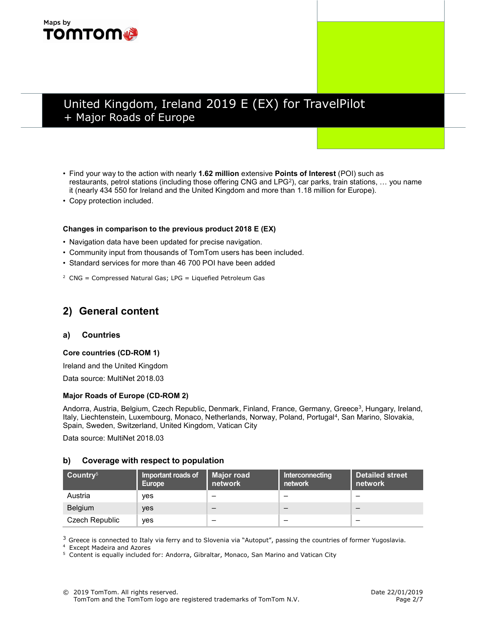## Maps by **TOMTOM®**

# United Kingdom, Ireland 2019 E (EX) for TravelPilot + Major Roads of Europe

- Find your way to the action with nearly 1.62 million extensive Points of Interest (POI) such as restaurants, petrol stations (including those offering CNG and LPG<sup>2</sup>), car parks, train stations, ... you name it (nearly 434 550 for Ireland and the United Kingdom and more than 1.18 million for Europe).
- Copy protection included.

#### Changes in comparison to the previous product 2018 E (EX)

- Navigation data have been updated for precise navigation.
- Community input from thousands of TomTom users has been included.
- Standard services for more than 46 700 POI have been added
- $2$  CNG = Compressed Natural Gas; LPG = Liquefied Petroleum Gas

### 2) General content

#### a) Countries

#### Core countries (CD-ROM 1)

Ireland and the United Kingdom

Data source: MultiNet 2018.03

#### Major Roads of Europe (CD-ROM 2)

Andorra, Austria, Belgium, Czech Republic, Denmark, Finland, France, Germany, Greece<sup>3</sup>, Hungary, Ireland, Italy, Liechtenstein, Luxembourg, Monaco, Netherlands, Norway, Poland, Portugal<sup>4</sup>, San Marino, Slovakia, Spain, Sweden, Switzerland, United Kingdom, Vatican City

Data source: MultiNet 2018.03

#### b) Coverage with respect to population

| $\frac{1}{2}$ Country <sup>5</sup> | Important roads of<br>Europe | <b>Major road</b><br>network | Interconnecting<br>network <b>\</b> | <b>Detailed street</b><br>network |
|------------------------------------|------------------------------|------------------------------|-------------------------------------|-----------------------------------|
| Austria                            | ves                          | –                            | –                                   |                                   |
| <b>Belgium</b>                     | ves                          | –                            |                                     |                                   |
| Czech Republic                     | ves                          | –                            | -                                   |                                   |

 $3$  Greece is connected to Italy via ferry and to Slovenia via "Autoput", passing the countries of former Yugoslavia.

4 Except Madeira and Azores

<sup>5</sup> Content is equally included for: Andorra, Gibraltar, Monaco, San Marino and Vatican City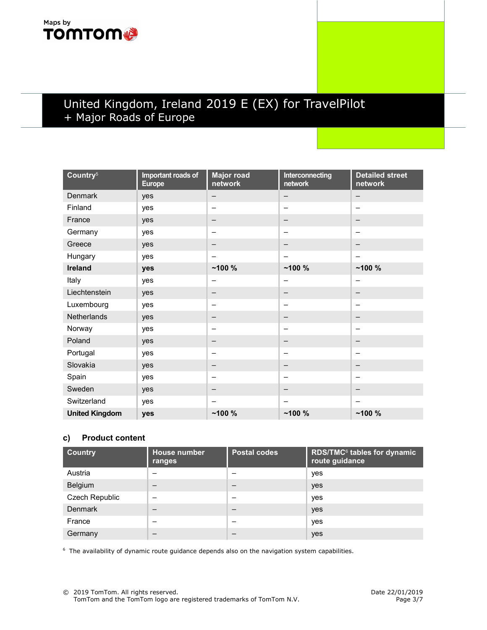## Maps by **TOMTOM®**

# United Kingdom, Ireland 2019 E (EX) for TravelPilot + Major Roads of Europe

| Country <sup>5</sup>  | Important roads of<br><b>Europe</b> | <b>Major road</b><br>network | Interconnecting<br>network | <b>Detailed street</b><br>network |
|-----------------------|-------------------------------------|------------------------------|----------------------------|-----------------------------------|
| <b>Denmark</b>        | yes                                 | —                            | $\qquad \qquad -$          |                                   |
| Finland               | yes                                 | $\overline{\phantom{0}}$     |                            |                                   |
| France                | yes                                 | $\qquad \qquad$              | $\qquad \qquad -$          | $\overline{\phantom{m}}$          |
| Germany               | yes                                 |                              | $\overline{\phantom{0}}$   |                                   |
| Greece                | yes                                 | —                            | —                          | -                                 |
| Hungary               | yes                                 | —                            | —                          | -                                 |
| <b>Ireland</b>        | yes                                 | $-100%$                      | ~100%                      | ~100%                             |
| Italy                 | yes                                 | -                            |                            | -                                 |
| Liechtenstein         | yes                                 | —                            | <b>—</b>                   | -                                 |
| Luxembourg            | yes                                 | $\overline{\phantom{0}}$     | $\overline{\phantom{0}}$   |                                   |
| Netherlands           | yes                                 | $\qquad \qquad$              | $\qquad \qquad$            |                                   |
| Norway                | yes                                 | $\overline{\phantom{0}}$     |                            |                                   |
| Poland                | yes                                 | -                            | $\qquad \qquad$            |                                   |
| Portugal              | yes                                 | -                            | $\overline{\phantom{0}}$   | $\overline{\phantom{0}}$          |
| Slovakia              | yes                                 | -                            | —                          | -                                 |
| Spain                 | yes                                 | -                            | -                          | $\qquad \qquad$                   |
| Sweden                | yes                                 | —                            | —                          | $\overline{\phantom{m}}$          |
| Switzerland           | yes                                 |                              | $\qquad \qquad$            | $\qquad \qquad -$                 |
| <b>United Kingdom</b> | yes                                 | $-100%$                      | ~100%                      | ~100%                             |

### c) Product content

| <b>Country</b>        | <b>House number</b><br>ranges | <b>Postal codes</b> | <b>RDS/TMC<sup>6</sup> tables for dynamic</b><br>route guidance |
|-----------------------|-------------------------------|---------------------|-----------------------------------------------------------------|
| Austria               |                               |                     | yes                                                             |
| Belgium               |                               |                     | yes                                                             |
| <b>Czech Republic</b> |                               |                     | yes                                                             |
| <b>Denmark</b>        |                               | –                   | yes                                                             |
| France                |                               | –                   | yes                                                             |
| Germany               |                               |                     | yes                                                             |

<sup>6</sup> The availability of dynamic route guidance depends also on the navigation system capabilities.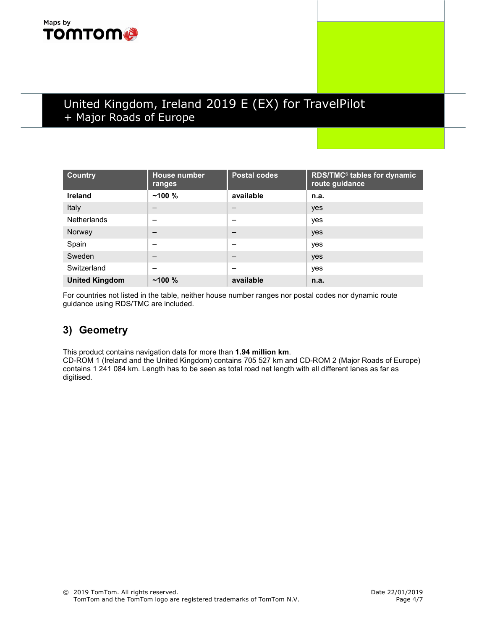## Maps by **TOMTOM**

# United Kingdom, Ireland 2019 E (EX) for TravelPilot + Major Roads of Europe

| <b>Country</b>        | <b>House number</b><br>ranges | <b>Postal codes</b> | RDS/TMC <sup>6</sup> tables for dynamic<br>route guidance |
|-----------------------|-------------------------------|---------------------|-----------------------------------------------------------|
| <b>Ireland</b>        | $~100\%$                      | available           | n.a.                                                      |
| Italy                 | –                             |                     | yes                                                       |
| <b>Netherlands</b>    | -                             | -                   | yes                                                       |
| Norway                | –                             | —                   | yes                                                       |
| Spain                 |                               | –                   | yes                                                       |
| Sweden                |                               | –                   | yes                                                       |
| Switzerland           | -                             | -                   | yes                                                       |
| <b>United Kingdom</b> | $~100\%$                      | available           | n.a.                                                      |

For countries not listed in the table, neither house number ranges nor postal codes nor dynamic route guidance using RDS/TMC are included.

### 3) Geometry

This product contains navigation data for more than 1.94 million km.

CD-ROM 1 (Ireland and the United Kingdom) contains 705 527 km and CD-ROM 2 (Major Roads of Europe) contains 1 241 084 km. Length has to be seen as total road net length with all different lanes as far as digitised.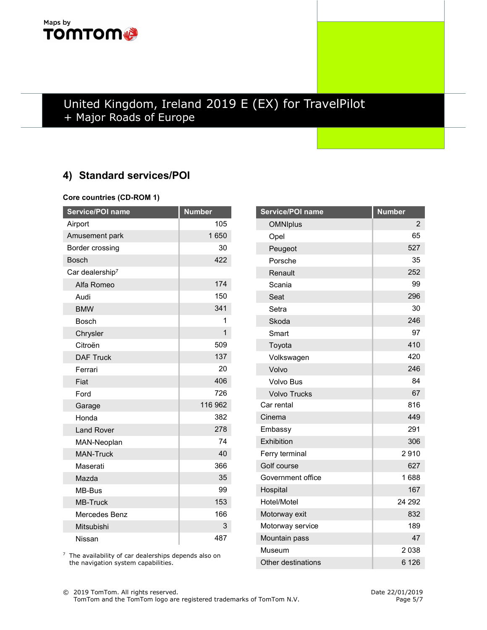## Maps by **TOMTOM®**

# United Kingdom, Ireland 2019 E (EX) for TravelPilot + Major Roads of Europe

# 4) Standard services/POI

#### Core countries (CD-ROM 1)

| Service/POI name            | <b>Number</b> |
|-----------------------------|---------------|
| Airport                     | 105           |
| Amusement park              | 1650          |
| Border crossing             | 30            |
| <b>Bosch</b>                | 422           |
| Car dealership <sup>7</sup> |               |
| Alfa Romeo                  | 174           |
| Audi                        | 150           |
| <b>BMW</b>                  | 341           |
| <b>Bosch</b>                | 1             |
| Chrysler                    | 1             |
| Citroën                     | 509           |
| <b>DAF Truck</b>            | 137           |
| Ferrari                     | 20            |
| Fiat                        | 406           |
| Ford                        | 726           |
| Garage                      | 116 962       |
| Honda                       | 382           |
| <b>Land Rover</b>           | 278           |
| MAN-Neoplan                 | 74            |
| <b>MAN-Truck</b>            | 40            |
| Maserati                    | 366           |
| Mazda                       | 35            |
| MB-Bus                      | 99            |
| <b>MB-Truck</b>             | 153           |
| Mercedes Benz               | 166           |
| Mitsubishi                  | 3             |
| Nissan                      | 487           |

| Service/POI name    | <b>Number</b> |
|---------------------|---------------|
| <b>OMNIplus</b>     | 2             |
| Opel                | 65            |
| Peugeot             | 527           |
| Porsche             | 35            |
| Renault             | 252           |
| Scania              | 99            |
| Seat                | 296           |
| Setra               | 30            |
| Skoda               | 246           |
| Smart               | 97            |
| Toyota              | 410           |
| Volkswagen          | 420           |
| Volvo               | 246           |
| <b>Volvo Bus</b>    | 84            |
| <b>Volvo Trucks</b> | 67            |
| Car rental          | 816           |
| Cinema              | 449           |
| Embassy             | 291           |
| Exhibition          | 306           |
| Ferry terminal      | 2910          |
| Golf course         | 627           |
| Government office   | 1688          |
| Hospital            | 167           |
| Hotel/Motel         | 24 292        |
| Motorway exit       | 832           |
| Motorway service    | 189           |
| Mountain pass       | 47            |
| Museum              | 2038          |
| Other destinations  | 6 1 2 6       |

<sup>7</sup> The availability of car dealerships depends also on the navigation system capabilities.

© 2019 TomTom. All rights reserved. Date 22/01/2019 TomTom and the TomTom logo are registered trademarks of TomTom N.V. Page 5/7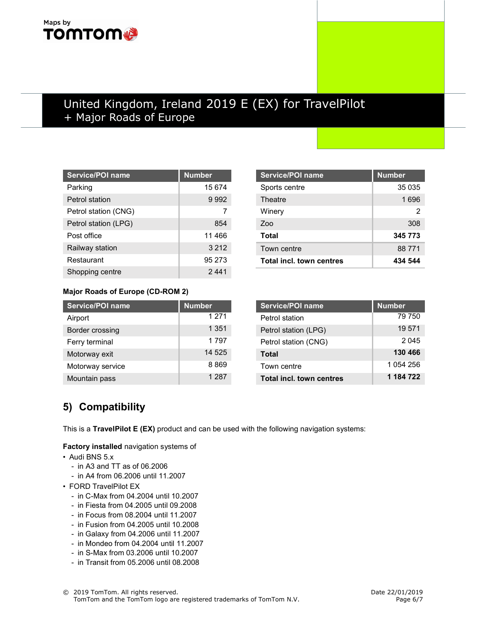# Maps by **TOMTOM**

# United Kingdom, Ireland 2019 E (EX) for TravelPilot + Major Roads of Europe

| <b>Service/POI name</b> | <b>Number</b> |
|-------------------------|---------------|
| Parking                 | 15 674        |
| Petrol station          | 9992          |
| Petrol station (CNG)    |               |
| Petrol station (LPG)    | 854           |
| Post office             | 11 466        |
| Railway station         | 3 2 1 2       |
| Restaurant              | 95 273        |
| Shopping centre         | 2 441         |

| <b>Service/POI name</b>  | <b>Number</b> |
|--------------------------|---------------|
| Sports centre            | 35 035        |
| Theatre                  | 1696          |
| Winery                   | 2             |
| 7οο                      | 308           |
| Total                    | 345 773       |
| Town centre              | 88 771        |
| Total incl. town centres | 434 544       |

### Major Roads of Europe (CD-ROM 2)

| <b>Service/POI name</b> | <b>Number</b> |
|-------------------------|---------------|
| Airport                 | 1 2 7 1       |
| Border crossing         | 1 3 5 1       |
| Ferry terminal          | 1797          |
| Motorway exit           | 14 525        |
| Motorway service        | 8869          |
| Mountain pass           | 1 2 8 7       |

| Service/POI name                | <b>Number</b> |
|---------------------------------|---------------|
| Petrol station                  | 79 750        |
| Petrol station (LPG)            | 19 571        |
| Petrol station (CNG)            | 2045          |
| Total                           | 130 466       |
| Town centre                     | 1 054 256     |
| <b>Total incl. town centres</b> | 1 184 722     |

## 5) Compatibility

This is a TravelPilot E (EX) product and can be used with the following navigation systems:

Factory installed navigation systems of

- Audi BNS 5.x
	- in A3 and TT as of 06.2006
	- in A4 from 06.2006 until 11.2007
- FORD TravelPilot EX
	- in C-Max from 04.2004 until 10.2007
	- in Fiesta from 04.2005 until 09.2008
	- in Focus from 08.2004 until 11.2007
	- in Fusion from 04.2005 until 10.2008
	- in Galaxy from 04.2006 until 11.2007
	- in Mondeo from 04.2004 until 11.2007
	- in S-Max from 03.2006 until 10.2007
	- in Transit from 05.2006 until 08.2008